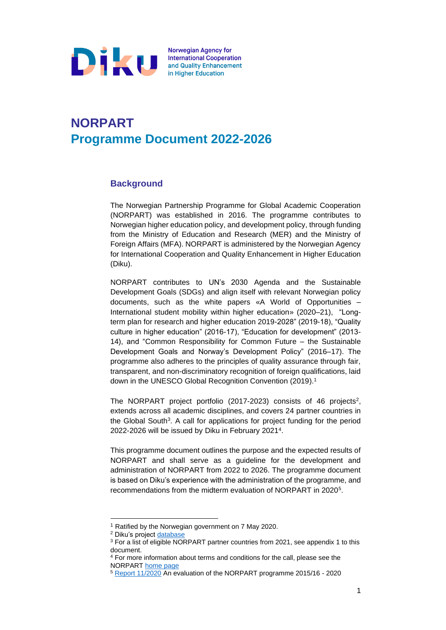

# **NORPART Programme Document 2022-2026**

### **Background**

The Norwegian Partnership Programme for Global Academic Cooperation (NORPART) was established in 2016. The programme contributes to Norwegian higher education policy, and development policy, through funding from the Ministry of Education and Research (MER) and the Ministry of Foreign Affairs (MFA). NORPART is administered by the Norwegian Agency for International Cooperation and Quality Enhancement in Higher Education (Diku).

NORPART contributes to UN's 2030 Agenda and the Sustainable Development Goals (SDGs) and align itself with relevant Norwegian policy documents, such as the white papers «A World of Opportunities – International student mobility within higher education» (2020–21), "Longterm plan for research and higher education 2019-2028" (2019-18), "Quality culture in higher education" (2016-17), "Education for development" (2013- 14), and "Common Responsibility for Common Future – the Sustainable Development Goals and Norway's Development Policy" (2016–17). The programme also adheres to the principles of quality assurance through fair, transparent, and non-discriminatory recognition of foreign qualifications, laid down in the UNESCO Global Recognition Convention (2019).<sup>1</sup>

The NORPART project portfolio (2017-2023) consists of 46 projects<sup>2</sup>, extends across all academic disciplines, and covers 24 partner countries in the Global South<sup>3</sup>. A call for applications for project funding for the period 2022-2026 will be issued by Diku in February 2021<sup>4</sup> .

This programme document outlines the purpose and the expected results of NORPART and shall serve as a guideline for the development and administration of NORPART from 2022 to 2026. The programme document is based on Diku's experience with the administration of the programme, and recommendations from the midterm evaluation of NORPART in 2020<sup>5</sup>.

<sup>2</sup> Diku's project [database](https://espresso.diku.no/projects/)

<sup>1</sup> Ratified by the Norwegian government on 7 May 2020.

<sup>&</sup>lt;sup>3</sup> For a list of eligible NORPART partner countries from 2021, see appendix 1 to this document.

<sup>4</sup> For more information about terms and conditions for the call, please see the NORPART [home page](https://diku.no/en/programmes/norpart-norwegian-partnership-programme-for-global-academic-cooperation)

<sup>5</sup> [Report 11/2020](https://www.ideas2evidence.com/index.php/publications/evaluering-av-norpart-partnerskapsprogrammet-akademisk-samarbeid-mellom-norge-og) An evaluation of the NORPART programme 2015/16 - 2020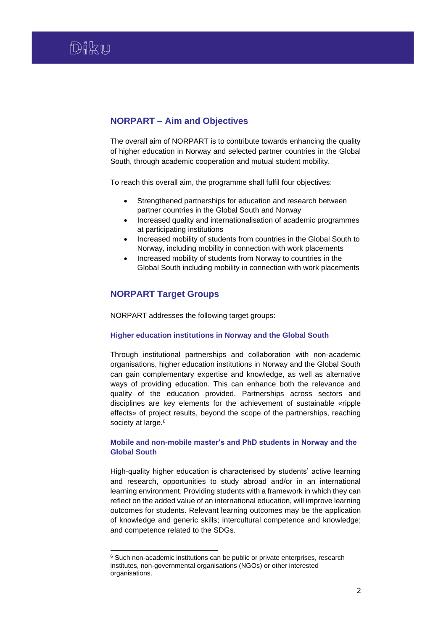## **NORPART – Aim and Objectives**

The overall aim of NORPART is to contribute towards enhancing the quality of higher education in Norway and selected partner countries in the Global South, through academic cooperation and mutual student mobility.

To reach this overall aim, the programme shall fulfil four objectives:

- Strengthened partnerships for education and research between partner countries in the Global South and Norway
- Increased quality and internationalisation of academic programmes at participating institutions
- Increased mobility of students from countries in the Global South to Norway, including mobility in connection with work placements
- Increased mobility of students from Norway to countries in the Global South including mobility in connection with work placements

## **NORPART Target Groups**

NORPART addresses the following target groups:

#### **Higher education institutions in Norway and the Global South**

Through institutional partnerships and collaboration with non-academic organisations, higher education institutions in Norway and the Global South can gain complementary expertise and knowledge, as well as alternative ways of providing education. This can enhance both the relevance and quality of the education provided. Partnerships across sectors and disciplines are key elements for the achievement of sustainable «ripple effects» of project results, beyond the scope of the partnerships, reaching society at large.<sup>6</sup>

#### **Mobile and non-mobile master's and PhD students in Norway and the Global South**

High-quality higher education is characterised by students' active learning and research, opportunities to study abroad and/or in an international learning environment. Providing students with a framework in which they can reflect on the added value of an international education, will improve learning outcomes for students. Relevant learning outcomes may be the application of knowledge and generic skills; intercultural competence and knowledge; and competence related to the SDGs.

<sup>&</sup>lt;sup>6</sup> Such non-academic institutions can be public or private enterprises, research institutes, non-governmental organisations (NGOs) or other interested organisations.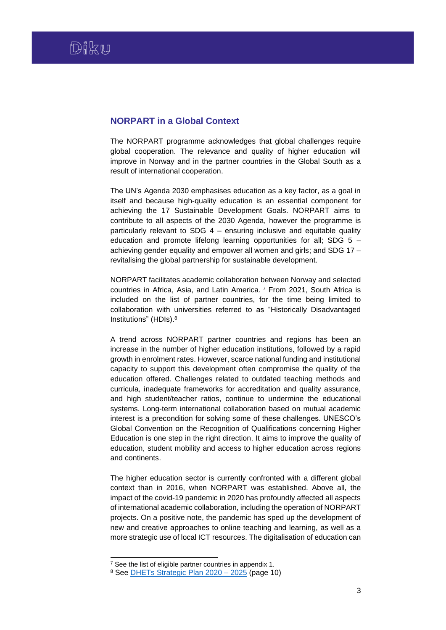#### **NORPART in a Global Context**

The NORPART programme acknowledges that global challenges require global cooperation. The relevance and quality of higher education will improve in Norway and in the partner countries in the Global South as a result of international cooperation.

The UN's Agenda 2030 emphasises education as a key factor, as a goal in itself and because high-quality education is an essential component for achieving the 17 Sustainable Development Goals. NORPART aims to contribute to all aspects of the 2030 Agenda, however the programme is particularly relevant to SDG 4 – ensuring inclusive and equitable quality education and promote lifelong learning opportunities for all; SDG 5 – achieving gender equality and empower all women and girls; and SDG 17 – revitalising the global partnership for sustainable development.

NORPART facilitates academic collaboration between Norway and selected countries in Africa, Asia, and Latin America. <sup>7</sup> From 2021, South Africa is included on the list of partner countries, for the time being limited to collaboration with universities referred to as "Historically Disadvantaged Institutions" (HDIs). 8

A trend across NORPART partner countries and regions has been an increase in the number of higher education institutions, followed by a rapid growth in enrolment rates. However, scarce national funding and institutional capacity to support this development often compromise the quality of the education offered. Challenges related to outdated teaching methods and curricula, inadequate frameworks for accreditation and quality assurance, and high student/teacher ratios, continue to undermine the educational systems. Long-term international collaboration based on mutual academic interest is a precondition for solving some of these challenges. UNESCO's Global Convention on the Recognition of Qualifications concerning Higher Education is one step in the right direction. It aims to improve the quality of education, student mobility and access to higher education across regions and continents.

The higher education sector is currently confronted with a different global context than in 2016, when NORPART was established. Above all, the impact of the covid-19 pandemic in 2020 has profoundly affected all aspects of international academic collaboration, including the operation of NORPART projects. On a positive note, the pandemic has sped up the development of new and creative approaches to online teaching and learning, as well as a more strategic use of local ICT resources. The digitalisation of education can

 $7$  See the list of eligible partner countries in appendix 1.

<sup>8</sup> See [DHETs Strategic Plan 2020 –](https://www.dhet.gov.za/SiteAssets/DHET%20Strategic%20Plan%202020.pdf) 2025 (page 10)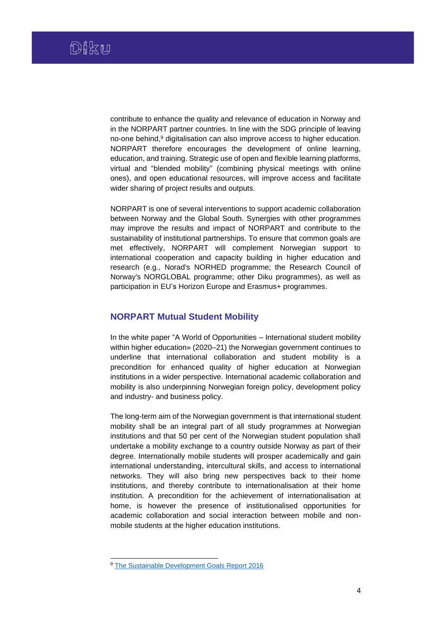contribute to enhance the quality and relevance of education in Norway and in the NORPART partner countries. In line with the SDG principle of leaving no-one behind, <sup>9</sup> digitalisation can also improve access to higher education. NORPART therefore encourages the development of online learning, education, and training. Strategic use of open and flexible learning platforms, virtual and "blended mobility" (combining physical meetings with online ones), and open educational resources, will improve access and facilitate wider sharing of project results and outputs.

NORPART is one of several interventions to support academic collaboration between Norway and the Global South. Synergies with other programmes may improve the results and impact of NORPART and contribute to the sustainability of institutional partnerships. To ensure that common goals are met effectively, NORPART will complement Norwegian support to international cooperation and capacity building in higher education and research (e.g., Norad's NORHED programme; the Research Council of Norway's NORGLOBAL programme; other Diku programmes), as well as participation in EU's Horizon Europe and Erasmus+ programmes.

#### **NORPART Mutual Student Mobility**

In the white paper "A World of Opportunities – International student mobility within higher education» (2020–21) the Norwegian government continues to underline that international collaboration and student mobility is a precondition for enhanced quality of higher education at Norwegian institutions in a wider perspective. International academic collaboration and mobility is also underpinning Norwegian foreign policy, development policy and industry- and business policy.

The long-term aim of the Norwegian government is that international student mobility shall be an integral part of all study programmes at Norwegian institutions and that 50 per cent of the Norwegian student population shall undertake a mobility exchange to a country outside Norway as part of their degree. Internationally mobile students will prosper academically and gain international understanding, intercultural skills, and access to international networks. They will also bring new perspectives back to their home institutions, and thereby contribute to internationalisation at their home institution. A precondition for the achievement of internationalisation at home, is however the presence of institutionalised opportunities for academic collaboration and social interaction between mobile and nonmobile students at the higher education institutions.

<sup>9</sup> [The Sustainable Development Goals Report 2016](https://unstats.un.org/sdgs/report/2016/leaving-no-one-behind)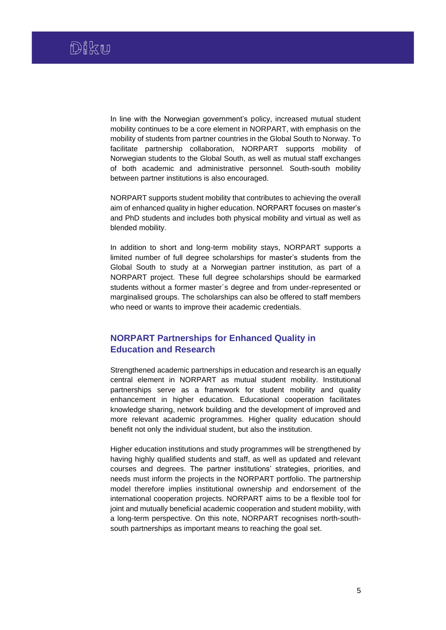In line with the Norwegian government's policy, increased mutual student mobility continues to be a core element in NORPART, with emphasis on the mobility of students from partner countries in the Global South to Norway. To facilitate partnership collaboration, NORPART supports mobility of Norwegian students to the Global South, as well as mutual staff exchanges of both academic and administrative personnel. South-south mobility between partner institutions is also encouraged.

NORPART supports student mobility that contributes to achieving the overall aim of enhanced quality in higher education. NORPART focuses on master's and PhD students and includes both physical mobility and virtual as well as blended mobility.

In addition to short and long-term mobility stays, NORPART supports a limited number of full degree scholarships for master's students from the Global South to study at a Norwegian partner institution, as part of a NORPART project. These full degree scholarships should be earmarked students without a former master´s degree and from under-represented or marginalised groups. The scholarships can also be offered to staff members who need or wants to improve their academic credentials.

## **NORPART Partnerships for Enhanced Quality in Education and Research**

Strengthened academic partnerships in education and research is an equally central element in NORPART as mutual student mobility. Institutional partnerships serve as a framework for student mobility and quality enhancement in higher education. Educational cooperation facilitates knowledge sharing, network building and the development of improved and more relevant academic programmes. Higher quality education should benefit not only the individual student, but also the institution.

Higher education institutions and study programmes will be strengthened by having highly qualified students and staff, as well as updated and relevant courses and degrees. The partner institutions' strategies, priorities, and needs must inform the projects in the NORPART portfolio. The partnership model therefore implies institutional ownership and endorsement of the international cooperation projects. NORPART aims to be a flexible tool for joint and mutually beneficial academic cooperation and student mobility, with a long-term perspective. On this note, NORPART recognises north-southsouth partnerships as important means to reaching the goal set.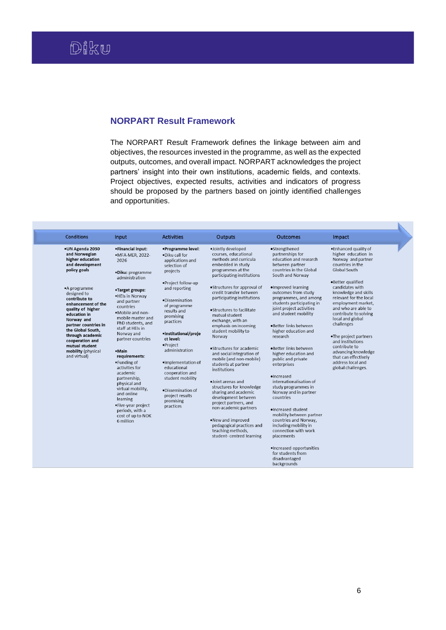## **NORPART Result Framework**

The NORPART Result Framework defines the linkage between aim and objectives, the resources invested in the programme, as well as the expected outputs, outcomes, and overall impact. NORPART acknowledges the project partners' insight into their own institutions, academic fields, and contexts. Project objectives, expected results, activities and indicators of progress should be proposed by the partners based on jointly identified challenges and opportunities.

| . Enhanced quality of<br>•UN Agenda 2030<br>•Financial input:<br>•Programme level:<br>·Jointly developed<br>•Strengthened<br>higher education in<br>and Norwegian<br>courses, educational<br>partnerships for<br>·MFA-MER, 2022-<br>. Diku call for<br>higher education<br>methods and curricula<br>education and research<br>Norway and partner<br>2026<br>applications and<br>and development<br>embedded in study<br>countries in the<br>between partner<br>selection of<br>policy goals<br>programmes at the<br>countries in the Global<br>Global South<br>projects<br>·Diku: programme<br>participating institutions<br>South and Norway<br>administration<br>·Better qualified<br>.Project follow-up<br>.Structures for approval of<br>·Improved learning<br>candidates with<br>and reporting<br>•A programme<br>•Target groups:<br>outcomes from study<br>knowledge and skills<br>credit transfer between<br>designed to<br>.HEls in Norway<br>participating institutions<br>programmes, and among<br>relevant for the local<br>contribute to<br>·Dissemination<br>and partner<br>students participating in<br>employment market.<br>enhancement of the<br>of programme<br>countries<br>joint project activities<br>and who are able to<br>quality of higher<br>•Structures to facilitate<br>results and<br>.Mobile and non-<br>and student mobility<br>contribute to solving<br>education in<br>mutual student<br>promising<br>mobile master and<br>local and global<br>Norway and<br>exchange, with an<br>practices<br>PhD students, and<br>challenges<br>partner countries in<br>·Better links between<br>emphasis on incoming<br>staff at HEIs in<br>the Global South.<br>student mobility to<br>higher education and<br>·Institutional/proje<br>Norway and<br>through academic<br>Norway<br>research<br>.The project partners<br>partner countries<br>ct level:<br>cooperation and<br>and institutions<br>·Project<br>mutual student<br>contribute to<br>•Structures for academic<br>•Better links between<br>administration<br>mobility (physical<br>•Main<br>advancing knowledge<br>and social integration of<br>higher education and<br>and virtual)<br>requirements:<br>that can effectively<br>mobile (and non-mobile)<br>public and private<br>•Funding of<br>address local and<br>·Implementation of<br>students at partner<br>enterprises<br>activities for<br>educational<br>global challenges.<br>institutions<br>academic<br>cooperation and<br>·Increased<br>partnership,<br>student mobility<br>·Joint arenas and<br>internationalisation of<br>physical and<br>structures for knowledge<br>study programmes in<br>virtual mobility,<br>.Dissemination of<br>sharing and academic<br>Norway and in partner<br>and online<br>project results<br>development between<br>countries<br>learning<br>promising<br>project partners, and<br>•Five-year project<br>practices<br>non-academic partners<br>·Increased student<br>periods, with a<br>mobility between partner<br>cost of up to NOK<br>.New and improved<br>countries and Norway,<br>6 million<br>pedagogical practices and<br>including mobility in<br>teaching methods.<br>connection with work<br>student-centred learning<br>placements<br>·Increased opportunities | <b>Conditions</b> | Input | <b>Activities</b> | <b>Outputs</b> | <b>Outcomes</b>   | Impact |
|------------------------------------------------------------------------------------------------------------------------------------------------------------------------------------------------------------------------------------------------------------------------------------------------------------------------------------------------------------------------------------------------------------------------------------------------------------------------------------------------------------------------------------------------------------------------------------------------------------------------------------------------------------------------------------------------------------------------------------------------------------------------------------------------------------------------------------------------------------------------------------------------------------------------------------------------------------------------------------------------------------------------------------------------------------------------------------------------------------------------------------------------------------------------------------------------------------------------------------------------------------------------------------------------------------------------------------------------------------------------------------------------------------------------------------------------------------------------------------------------------------------------------------------------------------------------------------------------------------------------------------------------------------------------------------------------------------------------------------------------------------------------------------------------------------------------------------------------------------------------------------------------------------------------------------------------------------------------------------------------------------------------------------------------------------------------------------------------------------------------------------------------------------------------------------------------------------------------------------------------------------------------------------------------------------------------------------------------------------------------------------------------------------------------------------------------------------------------------------------------------------------------------------------------------------------------------------------------------------------------------------------------------------------------------------------------------------------------------------------------------------------------------------------------------------------------------------------------------------------------------------------------------------------------------------------------------------------------------------------------------------------------------------------------------------------------------------------------------------------------------------------------------------------------------------------------------------------------------------------------------|-------------------|-------|-------------------|----------------|-------------------|--------|
|                                                                                                                                                                                                                                                                                                                                                                                                                                                                                                                                                                                                                                                                                                                                                                                                                                                                                                                                                                                                                                                                                                                                                                                                                                                                                                                                                                                                                                                                                                                                                                                                                                                                                                                                                                                                                                                                                                                                                                                                                                                                                                                                                                                                                                                                                                                                                                                                                                                                                                                                                                                                                                                                                                                                                                                                                                                                                                                                                                                                                                                                                                                                                                                                                                                      |                   |       |                   |                | for students from |        |